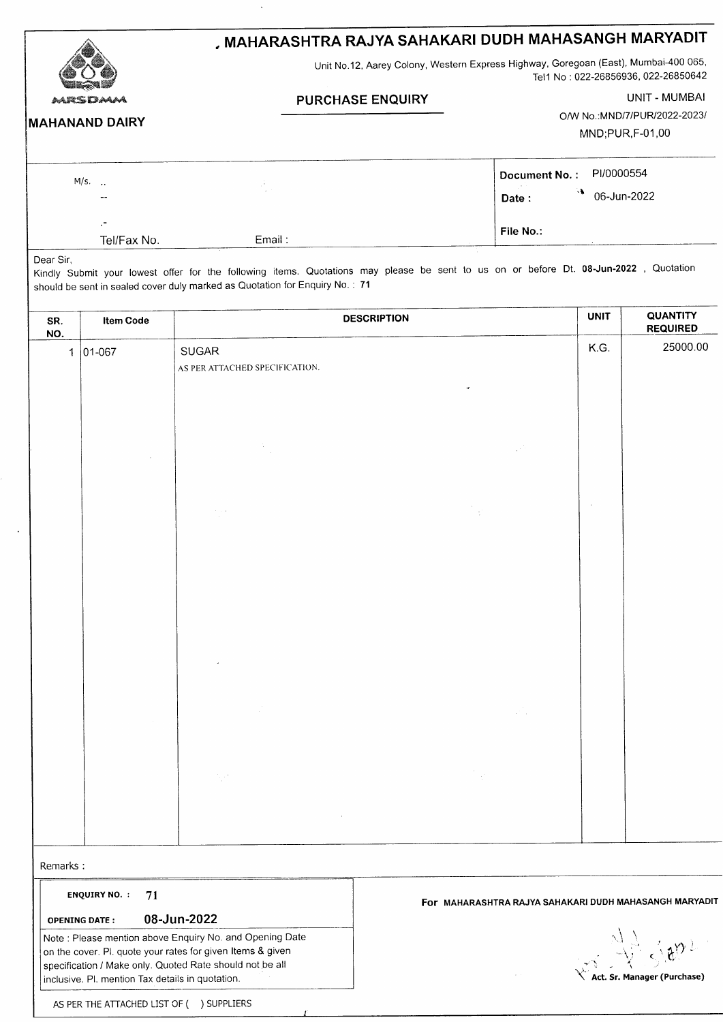|                       | , MAHARASHTRA RAJYA SAHAKARI DUDH MAHASANGH MARYADIT<br>Unit No.12, Aarey Colony, Western Express Highway, Goregoan (East), Mumbai-400 065,<br>Tel1 No: 022-26856936, 022-26850642 |                              |  |  |
|-----------------------|------------------------------------------------------------------------------------------------------------------------------------------------------------------------------------|------------------------------|--|--|
|                       |                                                                                                                                                                                    |                              |  |  |
| MRSDMA                | <b>PURCHASE ENQUIRY</b>                                                                                                                                                            | UNIT - MUMBAI                |  |  |
| <b>MAHANAND DAIRY</b> |                                                                                                                                                                                    | O/W No.:MND/7/PUR/2022-2023/ |  |  |
|                       |                                                                                                                                                                                    | MND;PUR,F-01,00              |  |  |
| $M/s.$ .              |                                                                                                                                                                                    | PI/0000554<br>Document No.:  |  |  |
| $- -$                 |                                                                                                                                                                                    | 06-Jun-2022<br>Date:         |  |  |

File No.:

| Tel/Fax No. |  |
|-------------|--|
|             |  |

Dear Sir, Kindly Submit your lowest offer for the following items. Quotations may please be sent to us on or before Dt. 08-Jun'2022 Quotation should be sent in sealed cover duly marked as Quotation for Enquiry No. : 71

Email:

| SR.<br>NO.                   | <b>DESCRIPTION</b><br><b>Item Code</b> |                                                                                      | <b>UNIT</b> | <b>QUANTITY</b><br><b>REQUIRED</b> |  |
|------------------------------|----------------------------------------|--------------------------------------------------------------------------------------|-------------|------------------------------------|--|
| $ 01 - 067 $<br>$\mathbf{1}$ |                                        | SUGAR<br>AS PER ATTACHED SPECIFICATION.                                              | K.G.        | 25000.00                           |  |
|                              |                                        | ÷,<br>$\mathbb{R}^N$                                                                 |             |                                    |  |
|                              |                                        | $\frac{1}{2}$<br>$\sigma = 1$<br>$\sim$                                              | $\sim$      |                                    |  |
|                              |                                        |                                                                                      |             |                                    |  |
|                              |                                        | $\sim$                                                                               |             |                                    |  |
|                              |                                        | $\frac{1}{2} \frac{1}{4} \frac{1}{2}$<br>$\mathcal{V}_{\mathcal{A}}$ , $\mathcal{V}$ |             |                                    |  |
|                              |                                        |                                                                                      |             |                                    |  |

Remarks :

ENQUIRY NO.  $: 71$ 

oPENING DATE: O8.JUN.2O22

Note: Please mention above Enquiry No. and Opening Date on the cover. Pl. quote your rates for given ltems & given specification / Make only. Quoted Rate should not be all inclusive. Pl. mention Tax details in quotation.

For MAHARASHTRA RAJYA SAHAKARI DUDH MAHASANGH MARYADIT

t  $\langle \ \rangle$  $\mathcal{L} \mathbf{I} = \mathbf{I}$ ,  $\propto$ ,  $\frac{\sqrt{2}}{2}$   $\leq$   $\frac{1}{2}$  $\overline{\mathcal{X}}$  Act. Sr. Manager (Purchase

AS PER THE ATTACHED LIST OF ( ) SUPPLIERS